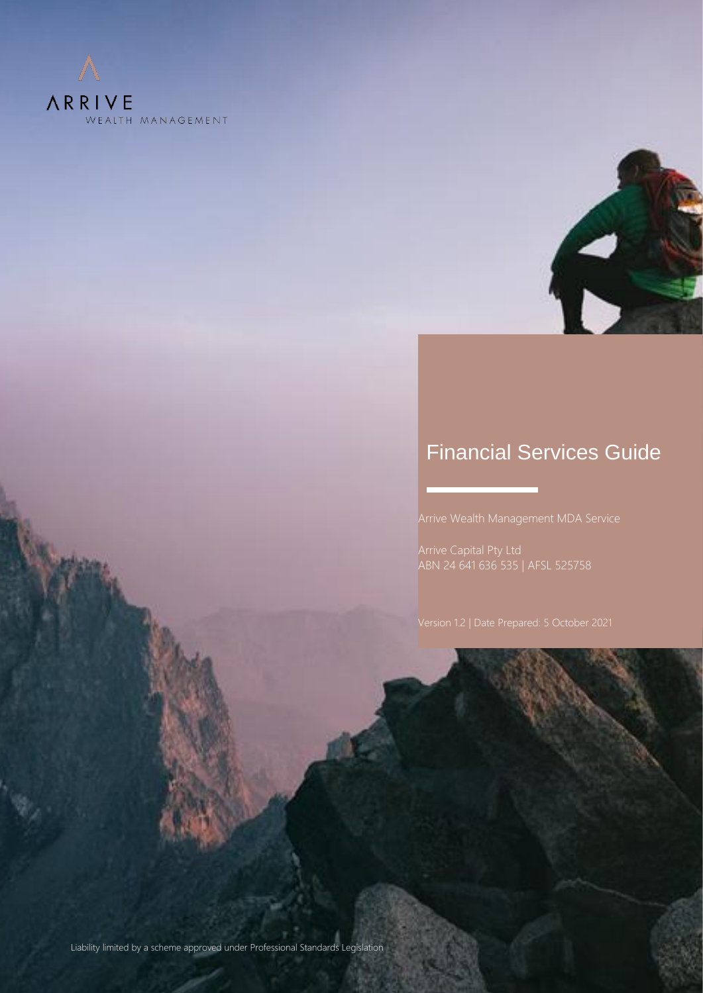



## Financial Services Guide

Arrive Wealth Management MDA Service

ABN 24 641 636 535 | AFSL 525758

Liability limited by a scheme approved under Professional Standards Legislation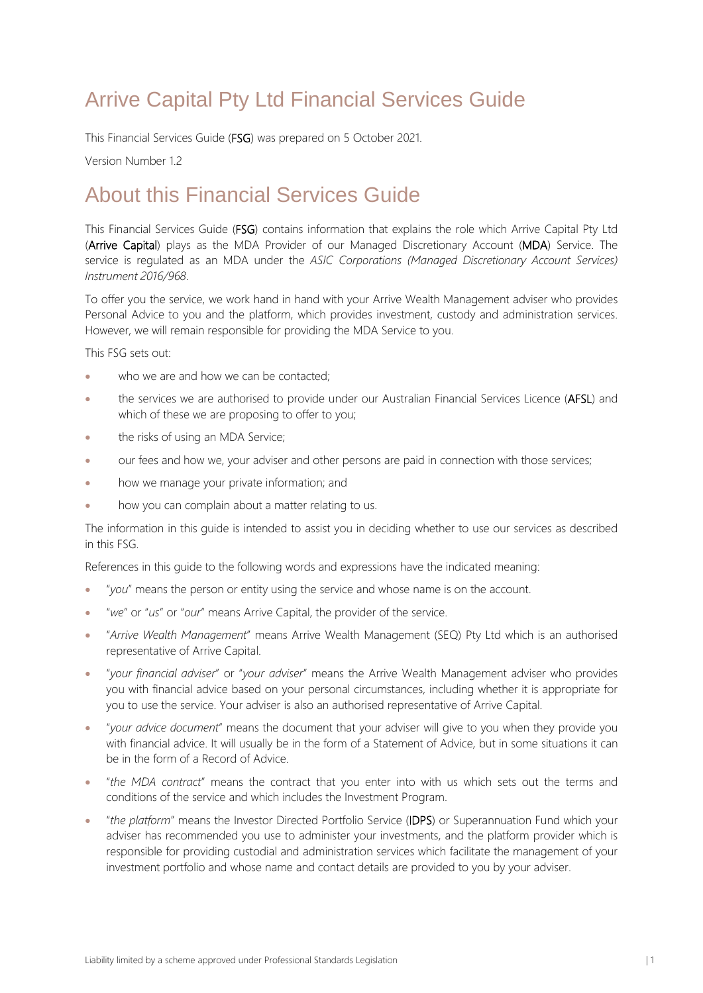# Arrive Capital Pty Ltd Financial Services Guide

This Financial Services Guide (FSG) was prepared on 5 October 2021.

Version Number 1.2

## About this Financial Services Guide

This Financial Services Guide (FSG) contains information that explains the role which Arrive Capital Pty Ltd (Arrive Capital) plays as the MDA Provider of our Managed Discretionary Account (MDA) Service. The service is regulated as an MDA under the *ASIC Corporations (Managed Discretionary Account Services) Instrument 2016/968*.

To offer you the service, we work hand in hand with your Arrive Wealth Management adviser who provides Personal Advice to you and the platform, which provides investment, custody and administration services. However, we will remain responsible for providing the MDA Service to you.

This FSG sets out:

- who we are and how we can be contacted:
- the services we are authorised to provide under our Australian Financial Services Licence (AFSL) and which of these we are proposing to offer to you;
- the risks of using an MDA Service;
- our fees and how we, your adviser and other persons are paid in connection with those services;
- how we manage your private information; and
- how you can complain about a matter relating to us.

The information in this guide is intended to assist you in deciding whether to use our services as described in this FSG.

References in this guide to the following words and expressions have the indicated meaning:

- "*you*" means the person or entity using the service and whose name is on the account.
- "*we*" or "*us*" or "*our*" means Arrive Capital, the provider of the service.
- "*Arrive Wealth Management*" means Arrive Wealth Management (SEQ) Pty Ltd which is an authorised representative of Arrive Capital.
- "*your financial adviser*" or "*your adviser*" means the Arrive Wealth Management adviser who provides you with financial advice based on your personal circumstances, including whether it is appropriate for you to use the service. Your adviser is also an authorised representative of Arrive Capital.
- "*your advice document*" means the document that your adviser will give to you when they provide you with financial advice. It will usually be in the form of a Statement of Advice, but in some situations it can be in the form of a Record of Advice.
- "*the MDA contract*" means the contract that you enter into with us which sets out the terms and conditions of the service and which includes the Investment Program.
- "*the platform*" means the Investor Directed Portfolio Service (IDPS) or Superannuation Fund which your adviser has recommended you use to administer your investments, and the platform provider which is responsible for providing custodial and administration services which facilitate the management of your investment portfolio and whose name and contact details are provided to you by your adviser.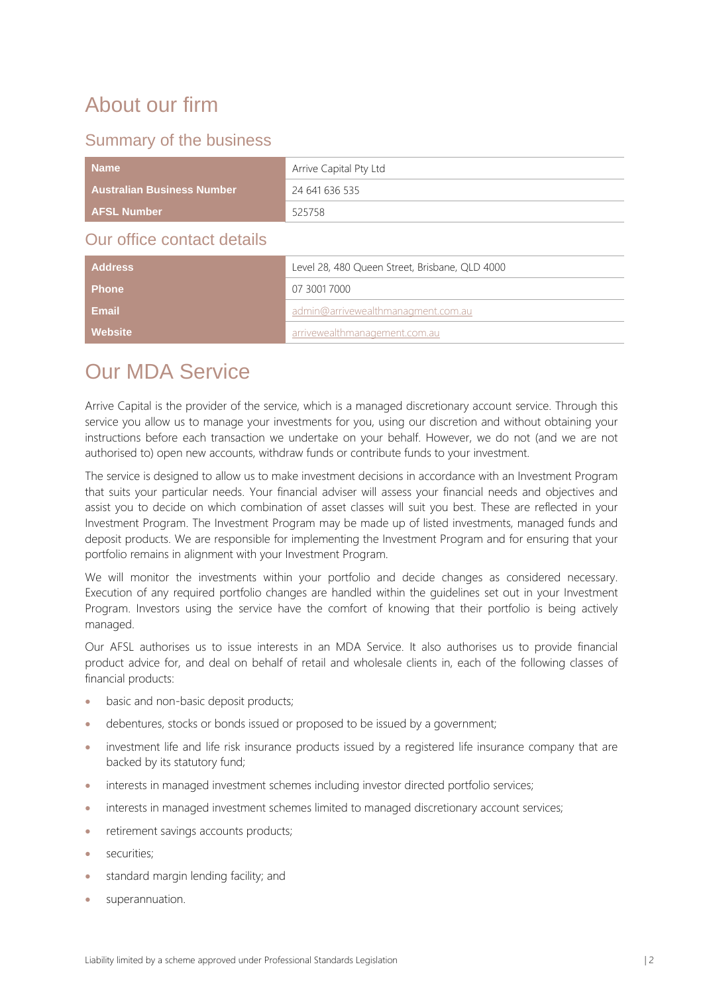# About our firm

## Summary of the business

| <b>Name</b>                       | Arrive Capital Pty Ltd                                            |
|-----------------------------------|-------------------------------------------------------------------|
| <b>Australian Business Number</b> | 24 641 636 535                                                    |
| <b>AFSL Number</b>                | 525758                                                            |
| Our office contact details        |                                                                   |
| Addroce                           | $\sim$ 0.0 100 0 100 $\sim$ 5 treet Prichage $\sim$ 0 $\sim$ 1000 |

| <b>Address</b> | Level 28, 480 Queen Street, Brisbane, QLD 4000 |  |
|----------------|------------------------------------------------|--|
| <b>Phone</b>   | 07 3001 7000                                   |  |
| Email          | admin@arrivewealthmanagment.com.au             |  |
| Website        | arrivewealthmanagement.com.au                  |  |

## Our MDA Service

Arrive Capital is the provider of the service, which is a managed discretionary account service. Through this service you allow us to manage your investments for you, using our discretion and without obtaining your instructions before each transaction we undertake on your behalf. However, we do not (and we are not authorised to) open new accounts, withdraw funds or contribute funds to your investment.

The service is designed to allow us to make investment decisions in accordance with an Investment Program that suits your particular needs. Your financial adviser will assess your financial needs and objectives and assist you to decide on which combination of asset classes will suit you best. These are reflected in your Investment Program. The Investment Program may be made up of listed investments, managed funds and deposit products. We are responsible for implementing the Investment Program and for ensuring that your portfolio remains in alignment with your Investment Program.

We will monitor the investments within your portfolio and decide changes as considered necessary. Execution of any required portfolio changes are handled within the guidelines set out in your Investment Program. Investors using the service have the comfort of knowing that their portfolio is being actively managed.

Our AFSL authorises us to issue interests in an MDA Service. It also authorises us to provide financial product advice for, and deal on behalf of retail and wholesale clients in, each of the following classes of financial products:

- basic and non-basic deposit products;
- debentures, stocks or bonds issued or proposed to be issued by a government;
- investment life and life risk insurance products issued by a registered life insurance company that are backed by its statutory fund;
- interests in managed investment schemes including investor directed portfolio services;
- interests in managed investment schemes limited to managed discretionary account services:
- retirement savings accounts products;
- securities;
- standard margin lending facility; and
- superannuation.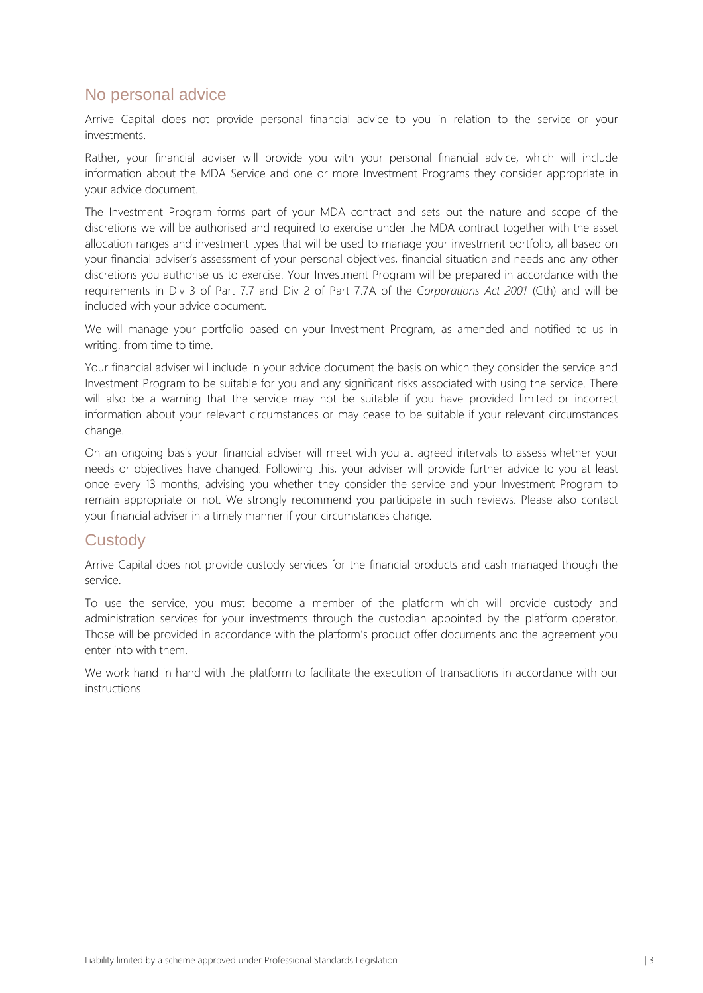## No personal advice

Arrive Capital does not provide personal financial advice to you in relation to the service or your investments.

Rather, your financial adviser will provide you with your personal financial advice, which will include information about the MDA Service and one or more Investment Programs they consider appropriate in your advice document.

The Investment Program forms part of your MDA contract and sets out the nature and scope of the discretions we will be authorised and required to exercise under the MDA contract together with the asset allocation ranges and investment types that will be used to manage your investment portfolio, all based on your financial adviser's assessment of your personal objectives, financial situation and needs and any other discretions you authorise us to exercise. Your Investment Program will be prepared in accordance with the requirements in Div 3 of Part 7.7 and Div 2 of Part 7.7A of the *Corporations Act 2001* (Cth) and will be included with your advice document.

We will manage your portfolio based on your Investment Program, as amended and notified to us in writing, from time to time.

Your financial adviser will include in your advice document the basis on which they consider the service and Investment Program to be suitable for you and any significant risks associated with using the service. There will also be a warning that the service may not be suitable if you have provided limited or incorrect information about your relevant circumstances or may cease to be suitable if your relevant circumstances change.

On an ongoing basis your financial adviser will meet with you at agreed intervals to assess whether your needs or objectives have changed. Following this, your adviser will provide further advice to you at least once every 13 months, advising you whether they consider the service and your Investment Program to remain appropriate or not. We strongly recommend you participate in such reviews. Please also contact your financial adviser in a timely manner if your circumstances change.

#### **Custody**

Arrive Capital does not provide custody services for the financial products and cash managed though the service.

To use the service, you must become a member of the platform which will provide custody and administration services for your investments through the custodian appointed by the platform operator. Those will be provided in accordance with the platform's product offer documents and the agreement you enter into with them.

We work hand in hand with the platform to facilitate the execution of transactions in accordance with our instructions.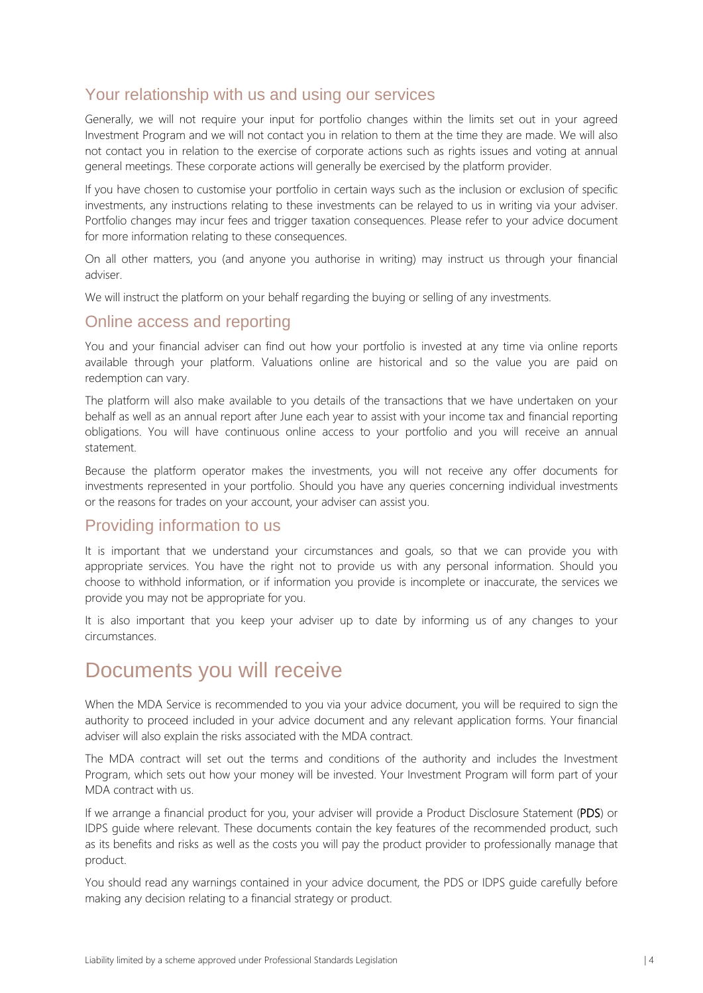### Your relationship with us and using our services

Generally, we will not require your input for portfolio changes within the limits set out in your agreed Investment Program and we will not contact you in relation to them at the time they are made. We will also not contact you in relation to the exercise of corporate actions such as rights issues and voting at annual general meetings. These corporate actions will generally be exercised by the platform provider.

If you have chosen to customise your portfolio in certain ways such as the inclusion or exclusion of specific investments, any instructions relating to these investments can be relayed to us in writing via your adviser. Portfolio changes may incur fees and trigger taxation consequences. Please refer to your advice document for more information relating to these consequences.

On all other matters, you (and anyone you authorise in writing) may instruct us through your financial adviser.

We will instruct the platform on your behalf regarding the buying or selling of any investments.

#### Online access and reporting

You and your financial adviser can find out how your portfolio is invested at any time via online reports available through your platform. Valuations online are historical and so the value you are paid on redemption can vary.

The platform will also make available to you details of the transactions that we have undertaken on your behalf as well as an annual report after June each year to assist with your income tax and financial reporting obligations. You will have continuous online access to your portfolio and you will receive an annual statement.

Because the platform operator makes the investments, you will not receive any offer documents for investments represented in your portfolio. Should you have any queries concerning individual investments or the reasons for trades on your account, your adviser can assist you.

### Providing information to us

It is important that we understand your circumstances and goals, so that we can provide you with appropriate services. You have the right not to provide us with any personal information. Should you choose to withhold information, or if information you provide is incomplete or inaccurate, the services we provide you may not be appropriate for you.

It is also important that you keep your adviser up to date by informing us of any changes to your circumstances.

## Documents you will receive

When the MDA Service is recommended to you via your advice document, you will be required to sign the authority to proceed included in your advice document and any relevant application forms. Your financial adviser will also explain the risks associated with the MDA contract.

The MDA contract will set out the terms and conditions of the authority and includes the Investment Program, which sets out how your money will be invested. Your Investment Program will form part of your MDA contract with us.

If we arrange a financial product for you, your adviser will provide a Product Disclosure Statement (PDS) or IDPS guide where relevant. These documents contain the key features of the recommended product, such as its benefits and risks as well as the costs you will pay the product provider to professionally manage that product.

You should read any warnings contained in your advice document, the PDS or IDPS guide carefully before making any decision relating to a financial strategy or product.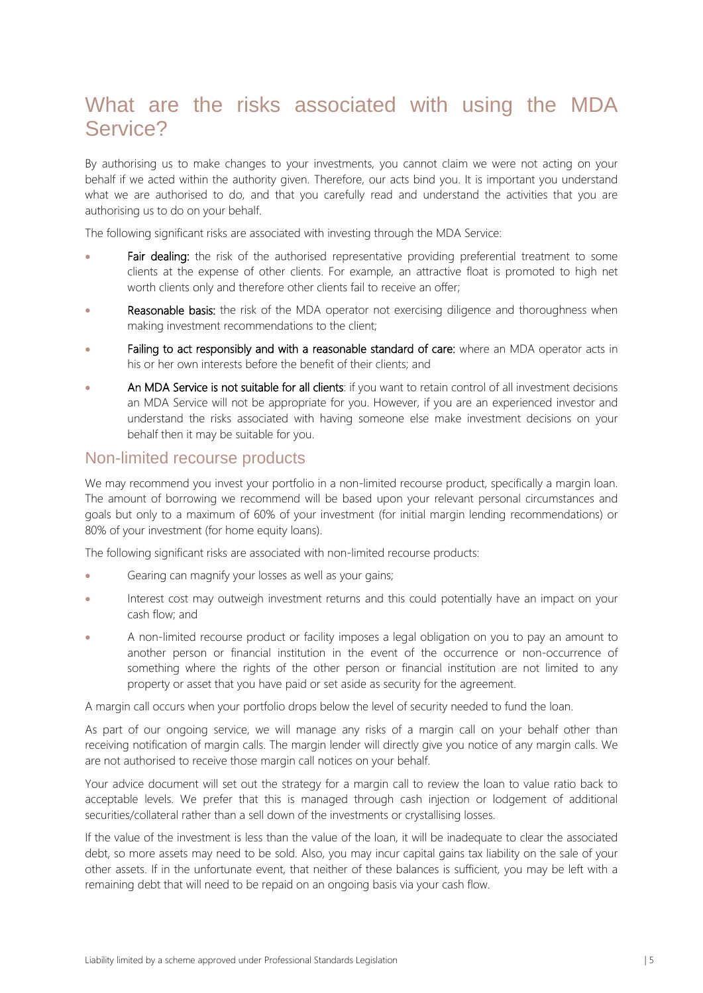## What are the risks associated with using the MDA Service?

By authorising us to make changes to your investments, you cannot claim we were not acting on your behalf if we acted within the authority given. Therefore, our acts bind you. It is important you understand what we are authorised to do, and that you carefully read and understand the activities that you are authorising us to do on your behalf.

The following significant risks are associated with investing through the MDA Service:

- Fair dealing: the risk of the authorised representative providing preferential treatment to some clients at the expense of other clients. For example, an attractive float is promoted to high net worth clients only and therefore other clients fail to receive an offer;
- **Reasonable basis:** the risk of the MDA operator not exercising diligence and thoroughness when making investment recommendations to the client;
- Failing to act responsibly and with a reasonable standard of care: where an MDA operator acts in his or her own interests before the benefit of their clients; and
- An MDA Service is not suitable for all clients: if you want to retain control of all investment decisions an MDA Service will not be appropriate for you. However, if you are an experienced investor and understand the risks associated with having someone else make investment decisions on your behalf then it may be suitable for you.

#### Non-limited recourse products

We may recommend you invest your portfolio in a non-limited recourse product, specifically a margin loan. The amount of borrowing we recommend will be based upon your relevant personal circumstances and goals but only to a maximum of 60% of your investment (for initial margin lending recommendations) or 80% of your investment (for home equity loans).

The following significant risks are associated with non-limited recourse products:

- Gearing can magnify your losses as well as your gains;
- Interest cost may outweigh investment returns and this could potentially have an impact on your cash flow; and
- A non-limited recourse product or facility imposes a legal obligation on you to pay an amount to another person or financial institution in the event of the occurrence or non-occurrence of something where the rights of the other person or financial institution are not limited to any property or asset that you have paid or set aside as security for the agreement.

A margin call occurs when your portfolio drops below the level of security needed to fund the loan.

As part of our ongoing service, we will manage any risks of a margin call on your behalf other than receiving notification of margin calls. The margin lender will directly give you notice of any margin calls. We are not authorised to receive those margin call notices on your behalf.

Your advice document will set out the strategy for a margin call to review the loan to value ratio back to acceptable levels. We prefer that this is managed through cash injection or lodgement of additional securities/collateral rather than a sell down of the investments or crystallising losses.

If the value of the investment is less than the value of the loan, it will be inadequate to clear the associated debt, so more assets may need to be sold. Also, you may incur capital gains tax liability on the sale of your other assets. If in the unfortunate event, that neither of these balances is sufficient, you may be left with a remaining debt that will need to be repaid on an ongoing basis via your cash flow.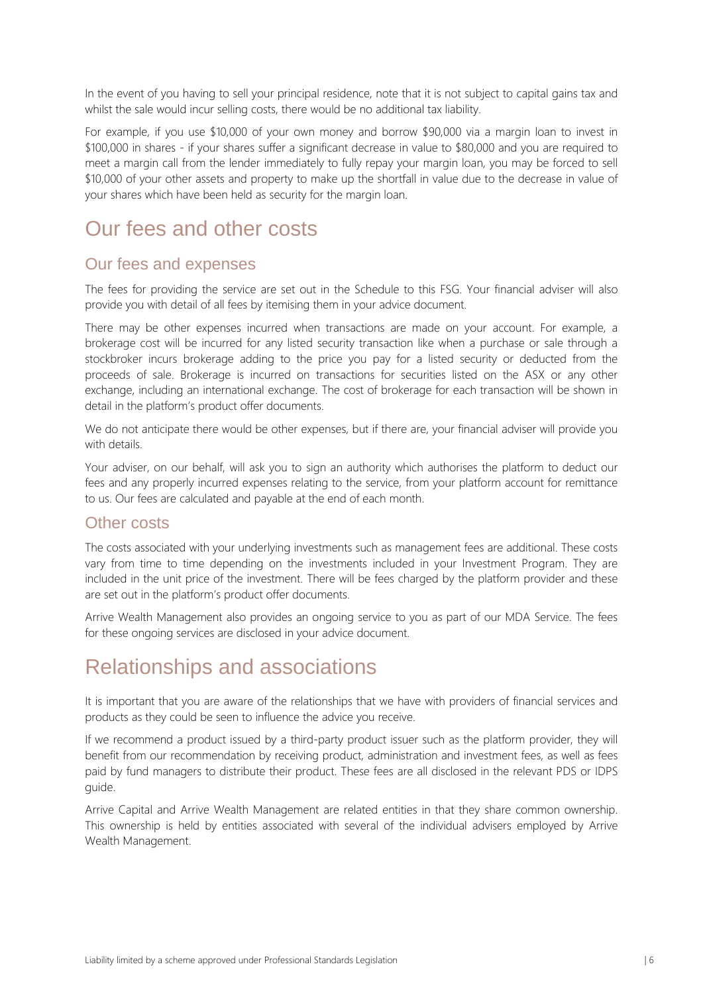In the event of you having to sell your principal residence, note that it is not subject to capital gains tax and whilst the sale would incur selling costs, there would be no additional tax liability.

For example, if you use \$10,000 of your own money and borrow \$90,000 via a margin loan to invest in \$100,000 in shares - if your shares suffer a significant decrease in value to \$80,000 and you are required to meet a margin call from the lender immediately to fully repay your margin loan, you may be forced to sell \$10,000 of your other assets and property to make up the shortfall in value due to the decrease in value of your shares which have been held as security for the margin loan.

## Our fees and other costs

#### Our fees and expenses

The fees for providing the service are set out in the Schedule to this FSG. Your financial adviser will also provide you with detail of all fees by itemising them in your advice document.

There may be other expenses incurred when transactions are made on your account. For example, a brokerage cost will be incurred for any listed security transaction like when a purchase or sale through a stockbroker incurs brokerage adding to the price you pay for a listed security or deducted from the proceeds of sale. Brokerage is incurred on transactions for securities listed on the ASX or any other exchange, including an international exchange. The cost of brokerage for each transaction will be shown in detail in the platform's product offer documents.

We do not anticipate there would be other expenses, but if there are, your financial adviser will provide you with details.

Your adviser, on our behalf, will ask you to sign an authority which authorises the platform to deduct our fees and any properly incurred expenses relating to the service, from your platform account for remittance to us. Our fees are calculated and payable at the end of each month.

#### Other costs

The costs associated with your underlying investments such as management fees are additional. These costs vary from time to time depending on the investments included in your Investment Program. They are included in the unit price of the investment. There will be fees charged by the platform provider and these are set out in the platform's product offer documents.

Arrive Wealth Management also provides an ongoing service to you as part of our MDA Service. The fees for these ongoing services are disclosed in your advice document.

## Relationships and associations

It is important that you are aware of the relationships that we have with providers of financial services and products as they could be seen to influence the advice you receive.

If we recommend a product issued by a third-party product issuer such as the platform provider, they will benefit from our recommendation by receiving product, administration and investment fees, as well as fees paid by fund managers to distribute their product. These fees are all disclosed in the relevant PDS or IDPS guide.

Arrive Capital and Arrive Wealth Management are related entities in that they share common ownership. This ownership is held by entities associated with several of the individual advisers employed by Arrive Wealth Management.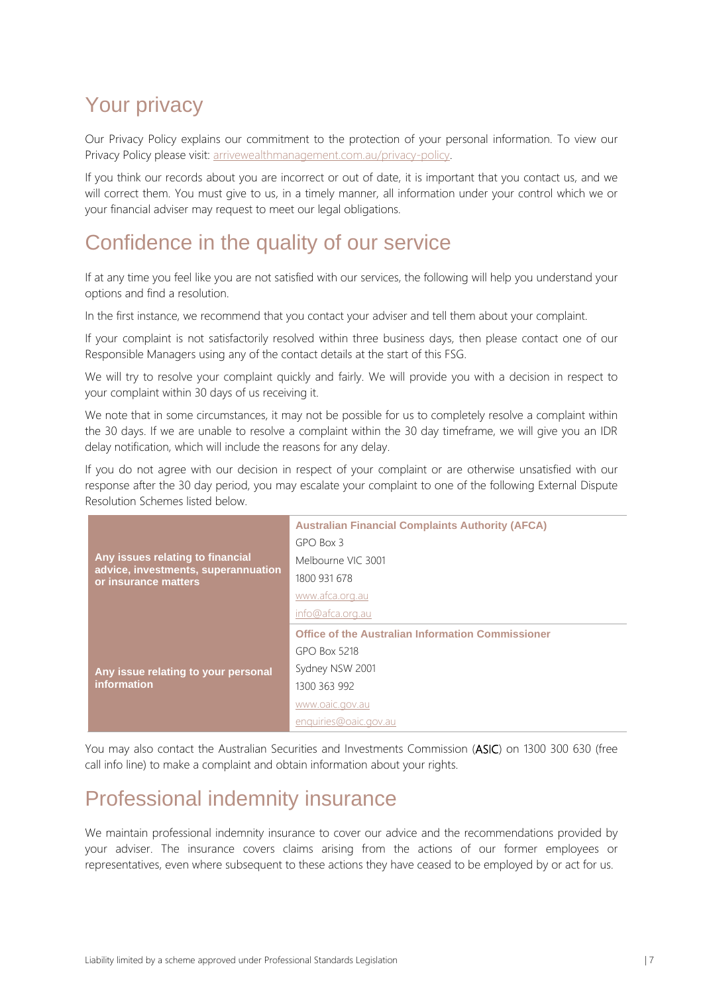# Your privacy

Our Privacy Policy explains our commitment to the protection of your personal information. To view our Privacy Policy please visit: [arrivewealthmanagement.com.au/privacy-policy.](https://www.arrivewealthmanagement.com.au/privacy-policy)

If you think our records about you are incorrect or out of date, it is important that you contact us, and we will correct them. You must give to us, in a timely manner, all information under your control which we or your financial adviser may request to meet our legal obligations.

## Confidence in the quality of our service

If at any time you feel like you are not satisfied with our services, the following will help you understand your options and find a resolution.

In the first instance, we recommend that you contact your adviser and tell them about your complaint.

If your complaint is not satisfactorily resolved within three business days, then please contact one of our Responsible Managers using any of the contact details at the start of this FSG.

We will try to resolve your complaint quickly and fairly. We will provide you with a decision in respect to your complaint within 30 days of us receiving it.

We note that in some circumstances, it may not be possible for us to completely resolve a complaint within the 30 days. If we are unable to resolve a complaint within the 30 day timeframe, we will give you an IDR delay notification, which will include the reasons for any delay.

If you do not agree with our decision in respect of your complaint or are otherwise unsatisfied with our response after the 30 day period, you may escalate your complaint to one of the following External Dispute Resolution Schemes listed below.

| Any issues relating to financial<br>advice, investments, superannuation<br>or insurance matters | <b>Australian Financial Complaints Authority (AFCA)</b>  |
|-------------------------------------------------------------------------------------------------|----------------------------------------------------------|
|                                                                                                 | $GPO$ Box 3                                              |
|                                                                                                 | Melbourne VIC 3001                                       |
|                                                                                                 | 1800 931 678                                             |
|                                                                                                 | www.afca.org.au                                          |
|                                                                                                 | info@afca.org.au                                         |
|                                                                                                 |                                                          |
|                                                                                                 | <b>Office of the Australian Information Commissioner</b> |
|                                                                                                 | GPO Box 5218                                             |
| Any issue relating to your personal                                                             | Sydney NSW 2001                                          |
| information                                                                                     | 1300 363 992                                             |
|                                                                                                 | www.oaic.gov.au                                          |

You may also contact the Australian Securities and Investments Commission (ASIC) on 1300 300 630 (free call info line) to make a complaint and obtain information about your rights.

# Professional indemnity insurance

We maintain professional indemnity insurance to cover our advice and the recommendations provided by your adviser. The insurance covers claims arising from the actions of our former employees or representatives, even where subsequent to these actions they have ceased to be employed by or act for us.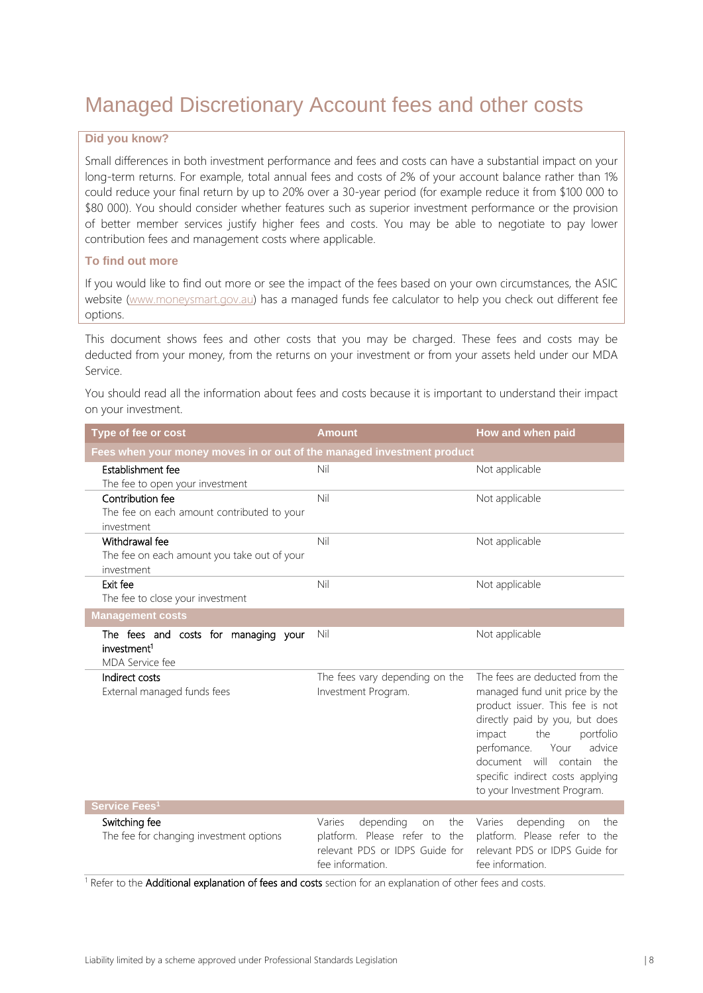# Managed Discretionary Account fees and other costs

#### **Did you know?**

Small differences in both investment performance and fees and costs can have a substantial impact on your long-term returns. For example, total annual fees and costs of 2% of your account balance rather than 1% could reduce your final return by up to 20% over a 30-year period (for example reduce it from \$100 000 to \$80 000). You should consider whether features such as superior investment performance or the provision of better member services justify higher fees and costs. You may be able to negotiate to pay lower contribution fees and management costs where applicable.

#### **To find out more**

If you would like to find out more or see the impact of the fees based on your own circumstances, the ASIC website [\(www.moneysmart.gov.au\)](https://moneysmart.gov.au/) has a managed funds fee calculator to help you check out different fee options.

This document shows fees and other costs that you may be charged. These fees and costs may be deducted from your money, from the returns on your investment or from your assets held under our MDA Service.

You should read all the information about fees and costs because it is important to understand their impact on your investment.

| Type of fee or cost                                                                | <b>Amount</b>                                                                                                           | How and when paid                                                                                                                                                                                                                                                                                    |  |  |
|------------------------------------------------------------------------------------|-------------------------------------------------------------------------------------------------------------------------|------------------------------------------------------------------------------------------------------------------------------------------------------------------------------------------------------------------------------------------------------------------------------------------------------|--|--|
| Fees when your money moves in or out of the managed investment product             |                                                                                                                         |                                                                                                                                                                                                                                                                                                      |  |  |
| Establishment fee                                                                  | Nil                                                                                                                     | Not applicable                                                                                                                                                                                                                                                                                       |  |  |
| The fee to open your investment                                                    |                                                                                                                         |                                                                                                                                                                                                                                                                                                      |  |  |
| Contribution fee                                                                   | Nil                                                                                                                     | Not applicable                                                                                                                                                                                                                                                                                       |  |  |
| The fee on each amount contributed to your                                         |                                                                                                                         |                                                                                                                                                                                                                                                                                                      |  |  |
| investment                                                                         |                                                                                                                         |                                                                                                                                                                                                                                                                                                      |  |  |
| Withdrawal fee                                                                     | Nil                                                                                                                     | Not applicable                                                                                                                                                                                                                                                                                       |  |  |
| The fee on each amount you take out of your<br>investment                          |                                                                                                                         |                                                                                                                                                                                                                                                                                                      |  |  |
| Exit fee                                                                           | Nil                                                                                                                     | Not applicable                                                                                                                                                                                                                                                                                       |  |  |
| The fee to close your investment                                                   |                                                                                                                         |                                                                                                                                                                                                                                                                                                      |  |  |
| <b>Management costs</b>                                                            |                                                                                                                         |                                                                                                                                                                                                                                                                                                      |  |  |
| The fees and costs for managing your<br>investment <sup>1</sup><br>MDA Service fee | Nil                                                                                                                     | Not applicable                                                                                                                                                                                                                                                                                       |  |  |
| Indirect costs<br>External managed funds fees                                      | The fees vary depending on the<br>Investment Program.                                                                   | The fees are deducted from the<br>managed fund unit price by the<br>product issuer. This fee is not<br>directly paid by you, but does<br>impact<br>the<br>portfolio<br>perfomance.<br>advice<br>Your<br>document will contain the<br>specific indirect costs applying<br>to your Investment Program. |  |  |
| Service Fees <sup>1</sup>                                                          |                                                                                                                         |                                                                                                                                                                                                                                                                                                      |  |  |
| Switching fee<br>The fee for changing investment options                           | depending<br>Varies<br>the<br>on<br>platform. Please refer to the<br>relevant PDS or IDPS Guide for<br>fee information. | depending<br>Varies<br>the<br>on<br>platform. Please refer to the<br>relevant PDS or IDPS Guide for<br>fee information.                                                                                                                                                                              |  |  |

<sup>1</sup> Refer to the **Additional explanation of fees and costs** section for an explanation of other fees and costs.